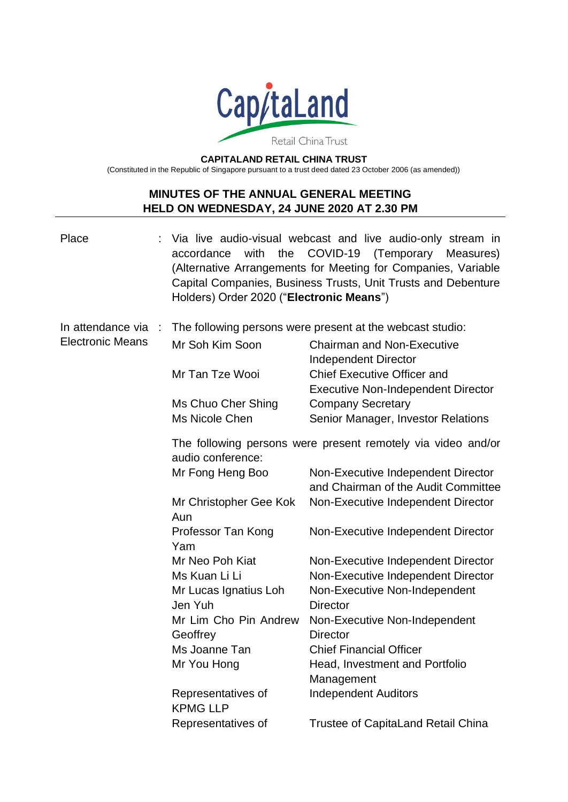

**CAPITALAND RETAIL CHINA TRUST**

(Constituted in the Republic of Singapore pursuant to a trust deed dated 23 October 2006 (as amended))

# **MINUTES OF THE ANNUAL GENERAL MEETING HELD ON WEDNESDAY, 24 JUNE 2020 AT 2.30 PM**

| Place                   | with the COVID-19<br>accordance<br>Holders) Order 2020 ("Electronic Means")       | Via live audio-visual webcast and live audio-only stream in<br>(Temporary Measures)<br>(Alternative Arrangements for Meeting for Companies, Variable<br>Capital Companies, Business Trusts, Unit Trusts and Debenture |  |
|-------------------------|-----------------------------------------------------------------------------------|-----------------------------------------------------------------------------------------------------------------------------------------------------------------------------------------------------------------------|--|
| In attendance via       |                                                                                   | The following persons were present at the webcast studio:                                                                                                                                                             |  |
| <b>Electronic Means</b> | Mr Soh Kim Soon                                                                   | <b>Chairman and Non-Executive</b><br><b>Independent Director</b>                                                                                                                                                      |  |
|                         | Mr Tan Tze Wooi                                                                   | <b>Chief Executive Officer and</b><br><b>Executive Non-Independent Director</b>                                                                                                                                       |  |
|                         | Ms Chuo Cher Shing                                                                | <b>Company Secretary</b>                                                                                                                                                                                              |  |
|                         | Ms Nicole Chen                                                                    | Senior Manager, Investor Relations                                                                                                                                                                                    |  |
|                         | The following persons were present remotely via video and/or<br>audio conference: |                                                                                                                                                                                                                       |  |
|                         | Mr Fong Heng Boo                                                                  | Non-Executive Independent Director<br>and Chairman of the Audit Committee                                                                                                                                             |  |
|                         | Mr Christopher Gee Kok<br>Aun                                                     | Non-Executive Independent Director                                                                                                                                                                                    |  |
|                         | Professor Tan Kong<br>Yam                                                         | Non-Executive Independent Director                                                                                                                                                                                    |  |
|                         | Mr Neo Poh Kiat                                                                   | Non-Executive Independent Director                                                                                                                                                                                    |  |
|                         | Ms Kuan Li Li                                                                     | Non-Executive Independent Director                                                                                                                                                                                    |  |
|                         | Mr Lucas Ignatius Loh<br>Jen Yuh                                                  | Non-Executive Non-Independent<br><b>Director</b>                                                                                                                                                                      |  |
|                         | Mr Lim Cho Pin Andrew<br>Geoffrey                                                 | Non-Executive Non-Independent<br><b>Director</b>                                                                                                                                                                      |  |
|                         | Ms Joanne Tan                                                                     | <b>Chief Financial Officer</b>                                                                                                                                                                                        |  |
|                         | Mr You Hong                                                                       | Head, Investment and Portfolio<br>Management                                                                                                                                                                          |  |
|                         | Representatives of<br><b>KPMG LLP</b>                                             | <b>Independent Auditors</b>                                                                                                                                                                                           |  |
|                         | Representatives of                                                                | <b>Trustee of CapitaLand Retail China</b>                                                                                                                                                                             |  |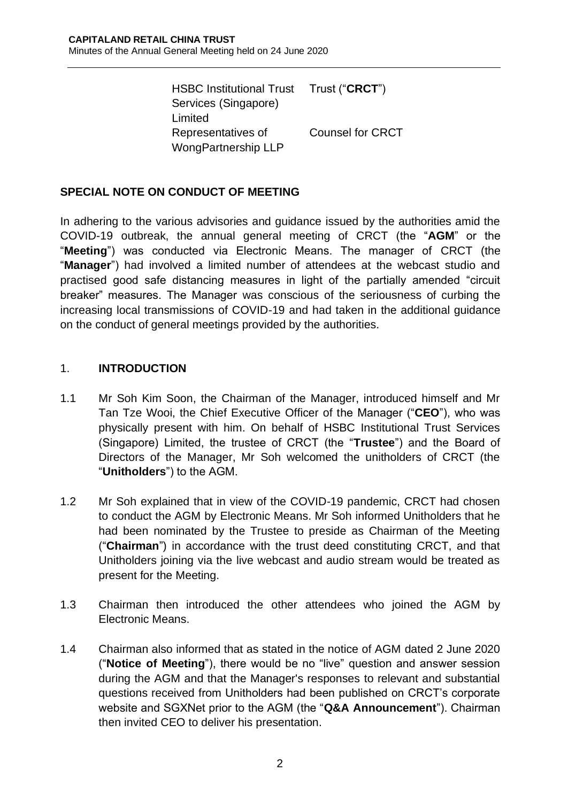HSBC Institutional Trust Services (Singapore) Limited Trust ("**CRCT**") Representatives of WongPartnership LLP Counsel for CRCT

# **SPECIAL NOTE ON CONDUCT OF MEETING**

In adhering to the various advisories and guidance issued by the authorities amid the COVID-19 outbreak, the annual general meeting of CRCT (the "**AGM**" or the "**Meeting**") was conducted via Electronic Means. The manager of CRCT (the "**Manager**") had involved a limited number of attendees at the webcast studio and practised good safe distancing measures in light of the partially amended "circuit breaker" measures. The Manager was conscious of the seriousness of curbing the increasing local transmissions of COVID-19 and had taken in the additional guidance on the conduct of general meetings provided by the authorities.

#### 1. **INTRODUCTION**

- 1.1 Mr Soh Kim Soon, the Chairman of the Manager, introduced himself and Mr Tan Tze Wooi, the Chief Executive Officer of the Manager ("**CEO**"), who was physically present with him. On behalf of HSBC Institutional Trust Services (Singapore) Limited, the trustee of CRCT (the "**Trustee**") and the Board of Directors of the Manager, Mr Soh welcomed the unitholders of CRCT (the "**Unitholders**") to the AGM.
- 1.2 Mr Soh explained that in view of the COVID-19 pandemic, CRCT had chosen to conduct the AGM by Electronic Means. Mr Soh informed Unitholders that he had been nominated by the Trustee to preside as Chairman of the Meeting ("**Chairman**") in accordance with the trust deed constituting CRCT, and that Unitholders joining via the live webcast and audio stream would be treated as present for the Meeting.
- 1.3 Chairman then introduced the other attendees who joined the AGM by Electronic Means.
- 1.4 Chairman also informed that as stated in the notice of AGM dated 2 June 2020 ("**Notice of Meeting**"), there would be no "live" question and answer session during the AGM and that the Manager's responses to relevant and substantial questions received from Unitholders had been published on CRCT's corporate website and SGXNet prior to the AGM (the "**Q&A Announcement**"). Chairman then invited CEO to deliver his presentation.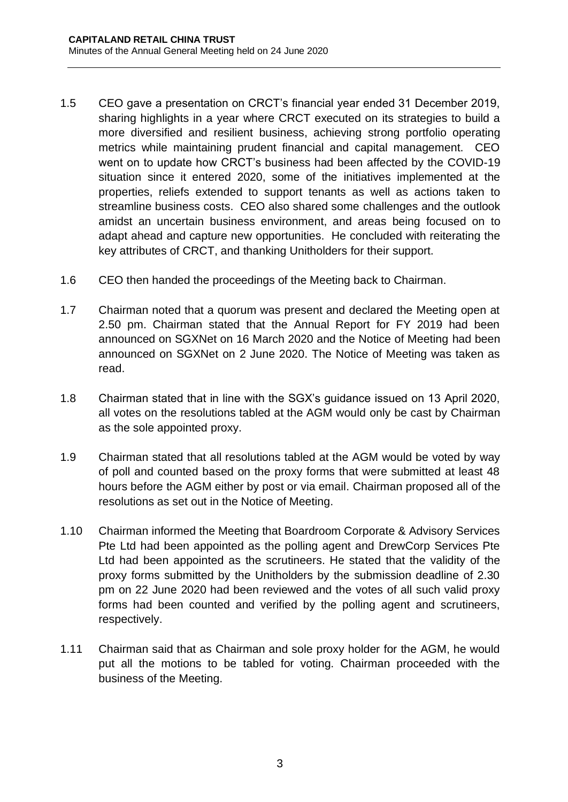- 1.5 CEO gave a presentation on CRCT's financial year ended 31 December 2019, sharing highlights in a year where CRCT executed on its strategies to build a more diversified and resilient business, achieving strong portfolio operating metrics while maintaining prudent financial and capital management. CEO went on to update how CRCT's business had been affected by the COVID-19 situation since it entered 2020, some of the initiatives implemented at the properties, reliefs extended to support tenants as well as actions taken to streamline business costs. CEO also shared some challenges and the outlook amidst an uncertain business environment, and areas being focused on to adapt ahead and capture new opportunities. He concluded with reiterating the key attributes of CRCT, and thanking Unitholders for their support.
- 1.6 CEO then handed the proceedings of the Meeting back to Chairman.
- 1.7 Chairman noted that a quorum was present and declared the Meeting open at 2.50 pm. Chairman stated that the Annual Report for FY 2019 had been announced on SGXNet on 16 March 2020 and the Notice of Meeting had been announced on SGXNet on 2 June 2020. The Notice of Meeting was taken as read.
- 1.8 Chairman stated that in line with the SGX's guidance issued on 13 April 2020, all votes on the resolutions tabled at the AGM would only be cast by Chairman as the sole appointed proxy.
- 1.9 Chairman stated that all resolutions tabled at the AGM would be voted by way of poll and counted based on the proxy forms that were submitted at least 48 hours before the AGM either by post or via email. Chairman proposed all of the resolutions as set out in the Notice of Meeting.
- 1.10 Chairman informed the Meeting that Boardroom Corporate & Advisory Services Pte Ltd had been appointed as the polling agent and DrewCorp Services Pte Ltd had been appointed as the scrutineers. He stated that the validity of the proxy forms submitted by the Unitholders by the submission deadline of 2.30 pm on 22 June 2020 had been reviewed and the votes of all such valid proxy forms had been counted and verified by the polling agent and scrutineers, respectively.
- 1.11 Chairman said that as Chairman and sole proxy holder for the AGM, he would put all the motions to be tabled for voting. Chairman proceeded with the business of the Meeting.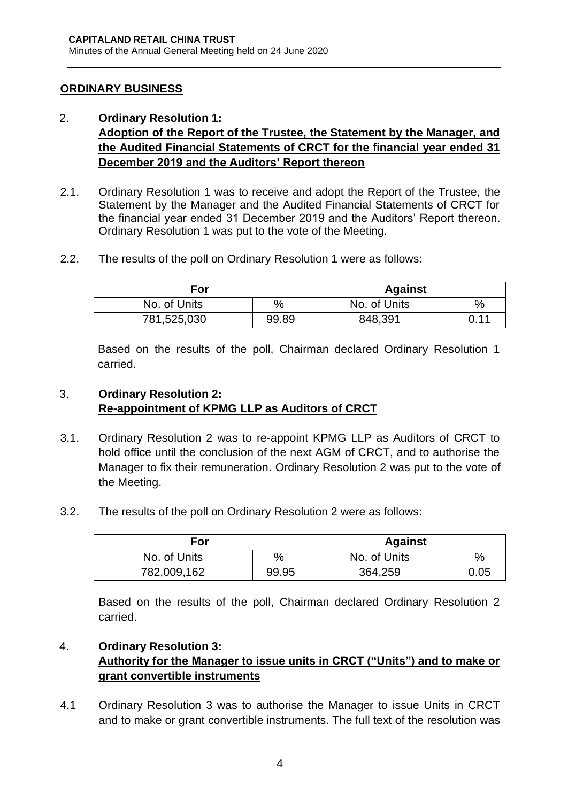#### **ORDINARY BUSINESS**

#### 2. **Ordinary Resolution 1: Adoption of the Report of the Trustee, the Statement by the Manager, and the Audited Financial Statements of CRCT for the financial year ended 31 December 2019 and the Auditors' Report thereon**

- 2.1. Ordinary Resolution 1 was to receive and adopt the Report of the Trustee, the Statement by the Manager and the Audited Financial Statements of CRCT for the financial year ended 31 December 2019 and the Auditors' Report thereon. Ordinary Resolution 1 was put to the vote of the Meeting.
- 2.2. The results of the poll on Ordinary Resolution 1 were as follows:

| For          |       | <b>Against</b> |      |
|--------------|-------|----------------|------|
| No. of Units | %     | No. of Units   | %    |
| 781,525,030  | 99.89 | 848,391        | 0.11 |

Based on the results of the poll, Chairman declared Ordinary Resolution 1 carried.

## 3. **Ordinary Resolution 2: Re-appointment of KPMG LLP as Auditors of CRCT**

- 3.1. Ordinary Resolution 2 was to re-appoint KPMG LLP as Auditors of CRCT to hold office until the conclusion of the next AGM of CRCT, and to authorise the Manager to fix their remuneration. Ordinary Resolution 2 was put to the vote of the Meeting.
- 3.2. The results of the poll on Ordinary Resolution 2 were as follows:

| For          |       | <b>Against</b> |      |
|--------------|-------|----------------|------|
| No. of Units | %     | No. of Units   | $\%$ |
| 782,009,162  | 99.95 | 364,259        | 0.05 |

Based on the results of the poll, Chairman declared Ordinary Resolution 2 carried.

# 4. **Ordinary Resolution 3:**

## **Authority for the Manager to issue units in CRCT ("Units") and to make or grant convertible instruments**

4.1 Ordinary Resolution 3 was to authorise the Manager to issue Units in CRCT and to make or grant convertible instruments. The full text of the resolution was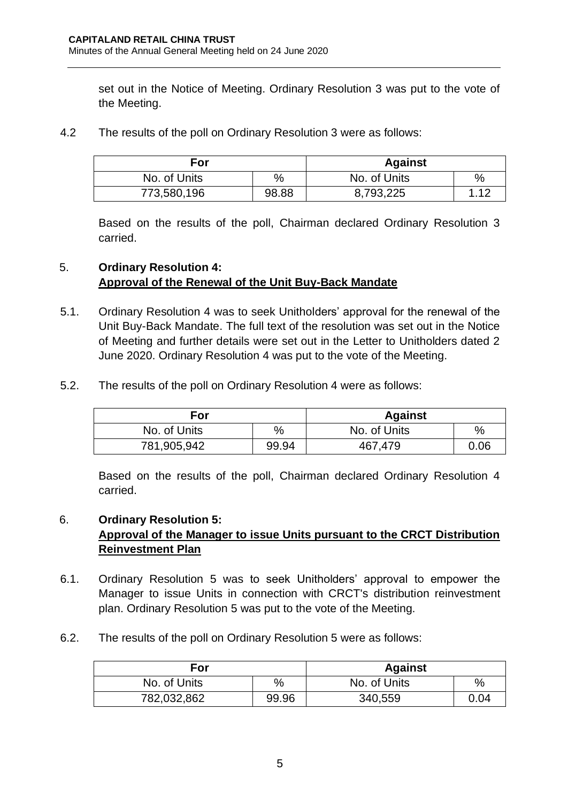set out in the Notice of Meeting. Ordinary Resolution 3 was put to the vote of the Meeting.

4.2 The results of the poll on Ordinary Resolution 3 were as follows:

| For          |       | <b>Against</b> |       |
|--------------|-------|----------------|-------|
| No. of Units | %     | No. of Units   | $\%$  |
| 773,580,196  | 98.88 | 8,793,225      | - 1 2 |

Based on the results of the poll, Chairman declared Ordinary Resolution 3 carried.

# 5. **Ordinary Resolution 4: Approval of the Renewal of the Unit Buy-Back Mandate**

- 5.1. Ordinary Resolution 4 was to seek Unitholders' approval for the renewal of the Unit Buy-Back Mandate. The full text of the resolution was set out in the Notice of Meeting and further details were set out in the Letter to Unitholders dated 2 June 2020. Ordinary Resolution 4 was put to the vote of the Meeting.
- 5.2. The results of the poll on Ordinary Resolution 4 were as follows:

| For          |       | <b>Against</b> |      |
|--------------|-------|----------------|------|
| No. of Units | %     | No. of Units   | $\%$ |
| 781,905,942  | 99.94 | 467,479        | 0.06 |

Based on the results of the poll, Chairman declared Ordinary Resolution 4 carried.

#### 6. **Ordinary Resolution 5:**

# **Approval of the Manager to issue Units pursuant to the CRCT Distribution Reinvestment Plan**

- 6.1. Ordinary Resolution 5 was to seek Unitholders' approval to empower the Manager to issue Units in connection with CRCT's distribution reinvestment plan. Ordinary Resolution 5 was put to the vote of the Meeting.
- 6.2. The results of the poll on Ordinary Resolution 5 were as follows:

| For          |       | <b>Against</b> |      |
|--------------|-------|----------------|------|
| No. of Units | %     | No. of Units   | $\%$ |
| 782,032,862  | 99.96 | 340,559        | 0.04 |